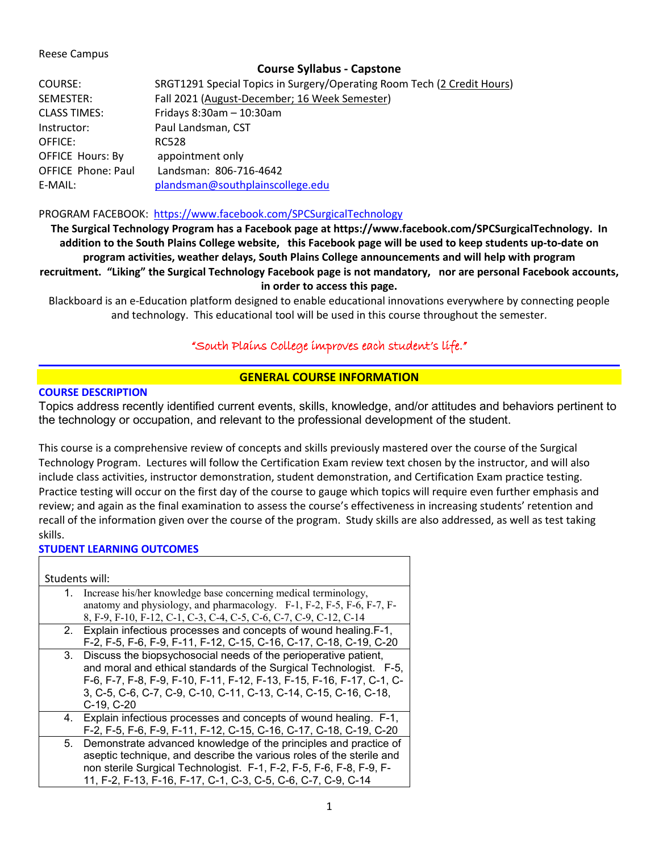### Reese Campus

## **Course Syllabus - Capstone**

| COURSE:                                     | SRGT1291 Special Topics in Surgery/Operating Room Tech (2 Credit Hours) |  |
|---------------------------------------------|-------------------------------------------------------------------------|--|
| SEMESTER:                                   | Fall 2021 (August-December; 16 Week Semester)                           |  |
| <b>CLASS TIMES:</b>                         | Fridays $8:30$ am $-10:30$ am                                           |  |
| Instructor:                                 | Paul Landsman, CST                                                      |  |
| OFFICE:                                     | RC528                                                                   |  |
| <b>OFFICE Hours: By</b><br>appointment only |                                                                         |  |
| <b>OFFICE Phone: Paul</b>                   | Landsman: 806-716-4642                                                  |  |
| E-MAIL:                                     | plandsman@southplainscollege.edu                                        |  |

### PROGRAM FACEBOOK: <https://www.facebook.com/SPCSurgicalTechnology>

**The Surgical Technology Program has a Facebook page at https://www.facebook.com/SPCSurgicalTechnology. In addition to the South Plains College website, this Facebook page will be used to keep students up-to-date on program activities, weather delays, South Plains College announcements and will help with program recruitment. "Liking" the Surgical Technology Facebook page is not mandatory, nor are personal Facebook accounts, in order to access this page.**

Blackboard is an e-Education platform designed to enable educational innovations everywhere by connecting people and technology. This educational tool will be used in this course throughout the semester.

# "South Plains College improves each student's life."

## **GENERAL COURSE INFORMATION**

## **COURSE DESCRIPTION**

Topics address recently identified current events, skills, knowledge, and/or attitudes and behaviors pertinent to the technology or occupation, and relevant to the professional development of the student.

This course is a comprehensive review of concepts and skills previously mastered over the course of the Surgical Technology Program. Lectures will follow the Certification Exam review text chosen by the instructor, and will also include class activities, instructor demonstration, student demonstration, and Certification Exam practice testing. Practice testing will occur on the first day of the course to gauge which topics will require even further emphasis and review; and again as the final examination to assess the course's effectiveness in increasing students' retention and recall of the information given over the course of the program. Study skills are also addressed, as well as test taking skills.

### **STUDENT LEARNING OUTCOMES**

| Students will: |                                                                       |
|----------------|-----------------------------------------------------------------------|
| 1.             | Increase his/her knowledge base concerning medical terminology,       |
|                | anatomy and physiology, and pharmacology. F-1, F-2, F-5, F-6, F-7, F- |
|                | 8, F-9, F-10, F-12, C-1, C-3, C-4, C-5, C-6, C-7, C-9, C-12, C-14     |
|                | 2. Explain infectious processes and concepts of wound healing.F-1,    |
|                | F-2, F-5, F-6, F-9, F-11, F-12, C-15, C-16, C-17, C-18, C-19, C-20    |
| 3.             | Discuss the biopsychosocial needs of the perioperative patient,       |
|                | and moral and ethical standards of the Surgical Technologist. F-5,    |
|                | F-6, F-7, F-8, F-9, F-10, F-11, F-12, F-13, F-15, F-16, F-17, C-1, C- |
|                | 3, C-5, C-6, C-7, C-9, C-10, C-11, C-13, C-14, C-15, C-16, C-18,      |
|                | C-19, C-20                                                            |
| 4.             | Explain infectious processes and concepts of wound healing. F-1,      |
|                | F-2, F-5, F-6, F-9, F-11, F-12, C-15, C-16, C-17, C-18, C-19, C-20    |
| 5.             | Demonstrate advanced knowledge of the principles and practice of      |
|                | aseptic technique, and describe the various roles of the sterile and  |
|                | non sterile Surgical Technologist. F-1, F-2, F-5, F-6, F-8, F-9, F-   |
|                | 11, F-2, F-13, F-16, F-17, C-1, C-3, C-5, C-6, C-7, C-9, C-14         |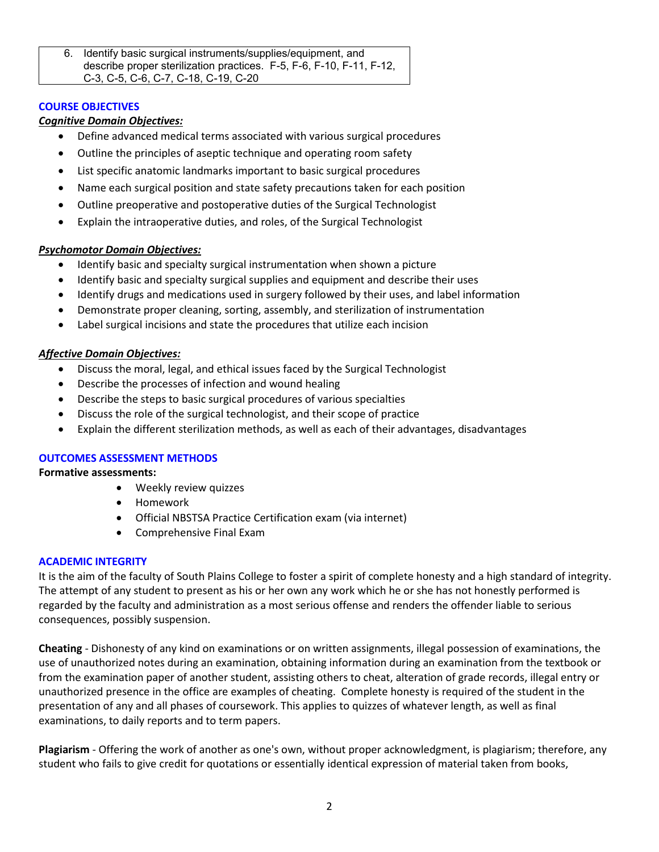6. Identify basic surgical instruments/supplies/equipment, and describe proper sterilization practices. F-5, F-6, F-10, F-11, F-12, C-3, C-5, C-6, C-7, C-18, C-19, C-20

## **COURSE OBJECTIVES**

### *Cognitive Domain Objectives:*

- Define advanced medical terms associated with various surgical procedures
- Outline the principles of aseptic technique and operating room safety
- List specific anatomic landmarks important to basic surgical procedures
- Name each surgical position and state safety precautions taken for each position
- Outline preoperative and postoperative duties of the Surgical Technologist
- Explain the intraoperative duties, and roles, of the Surgical Technologist

### *Psychomotor Domain Objectives:*

- Identify basic and specialty surgical instrumentation when shown a picture
- Identify basic and specialty surgical supplies and equipment and describe their uses
- Identify drugs and medications used in surgery followed by their uses, and label information
- Demonstrate proper cleaning, sorting, assembly, and sterilization of instrumentation
- Label surgical incisions and state the procedures that utilize each incision

### *Affective Domain Objectives:*

- Discuss the moral, legal, and ethical issues faced by the Surgical Technologist
- Describe the processes of infection and wound healing
- Describe the steps to basic surgical procedures of various specialties
- Discuss the role of the surgical technologist, and their scope of practice
- Explain the different sterilization methods, as well as each of their advantages, disadvantages

### **OUTCOMES ASSESSMENT METHODS**

**Formative assessments:**

- Weekly review quizzes
- Homework
- Official NBSTSA Practice Certification exam (via internet)
- Comprehensive Final Exam

### **ACADEMIC INTEGRITY**

It is the aim of the faculty of South Plains College to foster a spirit of complete honesty and a high standard of integrity. The attempt of any student to present as his or her own any work which he or she has not honestly performed is regarded by the faculty and administration as a most serious offense and renders the offender liable to serious consequences, possibly suspension.

**Cheating** - Dishonesty of any kind on examinations or on written assignments, illegal possession of examinations, the use of unauthorized notes during an examination, obtaining information during an examination from the textbook or from the examination paper of another student, assisting others to cheat, alteration of grade records, illegal entry or unauthorized presence in the office are examples of cheating. Complete honesty is required of the student in the presentation of any and all phases of coursework. This applies to quizzes of whatever length, as well as final examinations, to daily reports and to term papers.

**Plagiarism** - Offering the work of another as one's own, without proper acknowledgment, is plagiarism; therefore, any student who fails to give credit for quotations or essentially identical expression of material taken from books,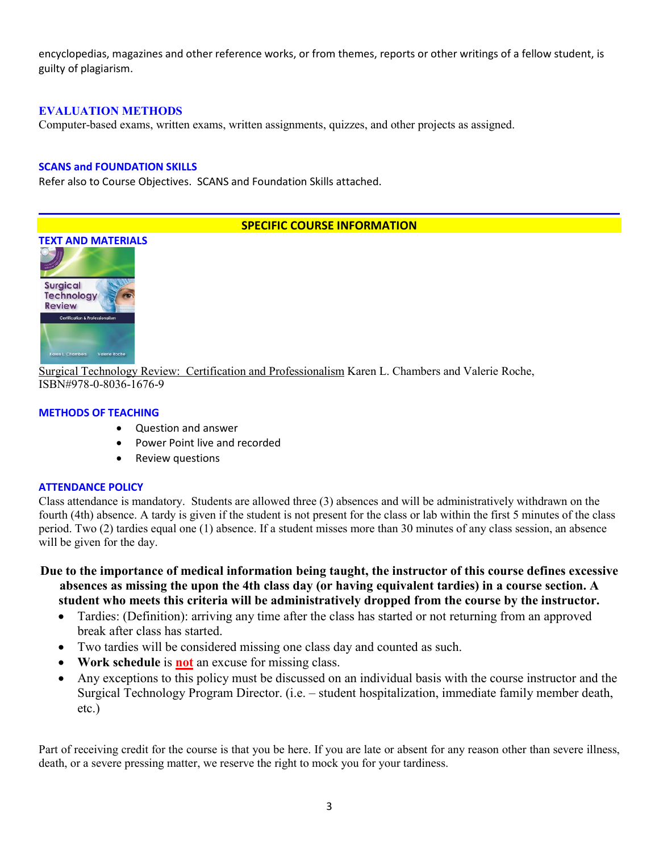encyclopedias, magazines and other reference works, or from themes, reports or other writings of a fellow student, is guilty of plagiarism.

## **EVALUATION METHODS**

Computer-based exams, written exams, written assignments, quizzes, and other projects as assigned.

### **SCANS and FOUNDATION SKILLS**

Refer also to Course Objectives. SCANS and Foundation Skills attached.

## **SPECIFIC COURSE INFORMATION**



Surgical Technology Review: Certification and Professionalism Karen L. Chambers and Valerie Roche, ISBN#978-0-8036-1676-9

### **METHODS OF TEACHING**

- Question and answer
- Power Point live and recorded
- Review questions

### **ATTENDANCE POLICY**

Class attendance is mandatory. Students are allowed three (3) absences and will be administratively withdrawn on the fourth (4th) absence. A tardy is given if the student is not present for the class or lab within the first 5 minutes of the class period. Two (2) tardies equal one (1) absence. If a student misses more than 30 minutes of any class session, an absence will be given for the day.

- **Due to the importance of medical information being taught, the instructor of this course defines excessive absences as missing the upon the 4th class day (or having equivalent tardies) in a course section. A student who meets this criteria will be administratively dropped from the course by the instructor.** 
	- Tardies: (Definition): arriving any time after the class has started or not returning from an approved break after class has started.
	- Two tardies will be considered missing one class day and counted as such.
	- **Work schedule** is **not** an excuse for missing class.
	- Any exceptions to this policy must be discussed on an individual basis with the course instructor and the Surgical Technology Program Director. (i.e. – student hospitalization, immediate family member death, etc.)

Part of receiving credit for the course is that you be here. If you are late or absent for any reason other than severe illness, death, or a severe pressing matter, we reserve the right to mock you for your tardiness.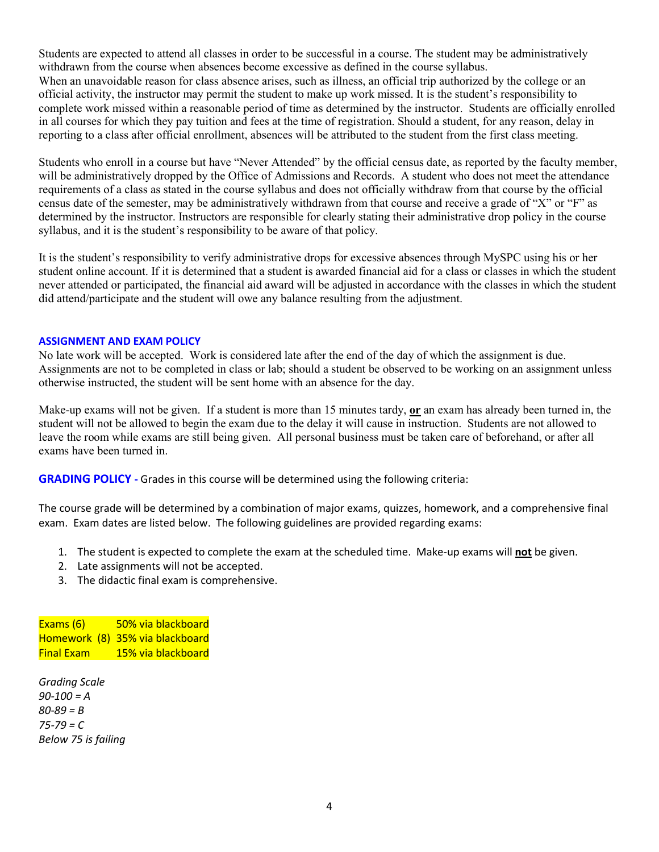Students are expected to attend all classes in order to be successful in a course. The student may be administratively withdrawn from the course when absences become excessive as defined in the course syllabus. When an unavoidable reason for class absence arises, such as illness, an official trip authorized by the college or an official activity, the instructor may permit the student to make up work missed. It is the student's responsibility to complete work missed within a reasonable period of time as determined by the instructor. Students are officially enrolled in all courses for which they pay tuition and fees at the time of registration. Should a student, for any reason, delay in reporting to a class after official enrollment, absences will be attributed to the student from the first class meeting.

Students who enroll in a course but have "Never Attended" by the official census date, as reported by the faculty member, will be administratively dropped by the Office of Admissions and Records. A student who does not meet the attendance requirements of a class as stated in the course syllabus and does not officially withdraw from that course by the official census date of the semester, may be administratively withdrawn from that course and receive a grade of "X" or "F" as determined by the instructor. Instructors are responsible for clearly stating their administrative drop policy in the course syllabus, and it is the student's responsibility to be aware of that policy.

It is the student's responsibility to verify administrative drops for excessive absences through MySPC using his or her student online account. If it is determined that a student is awarded financial aid for a class or classes in which the student never attended or participated, the financial aid award will be adjusted in accordance with the classes in which the student did attend/participate and the student will owe any balance resulting from the adjustment.

#### **ASSIGNMENT AND EXAM POLICY**

No late work will be accepted. Work is considered late after the end of the day of which the assignment is due. Assignments are not to be completed in class or lab; should a student be observed to be working on an assignment unless otherwise instructed, the student will be sent home with an absence for the day.

Make-up exams will not be given. If a student is more than 15 minutes tardy, **or** an exam has already been turned in, the student will not be allowed to begin the exam due to the delay it will cause in instruction. Students are not allowed to leave the room while exams are still being given. All personal business must be taken care of beforehand, or after all exams have been turned in.

**GRADING POLICY -** Grades in this course will be determined using the following criteria:

The course grade will be determined by a combination of major exams, quizzes, homework, and a comprehensive final exam. Exam dates are listed below. The following guidelines are provided regarding exams:

- 1. The student is expected to complete the exam at the scheduled time. Make-up exams will **not** be given.
- 2. Late assignments will not be accepted.
- 3. The didactic final exam is comprehensive.

Exams (6) 50% via blackboard Homework (8) 35% via blackboard Final Exam 15% via blackboard

*Grading Scale 90-100 = A 80-89 = B 75-79 = C Below 75 is failing*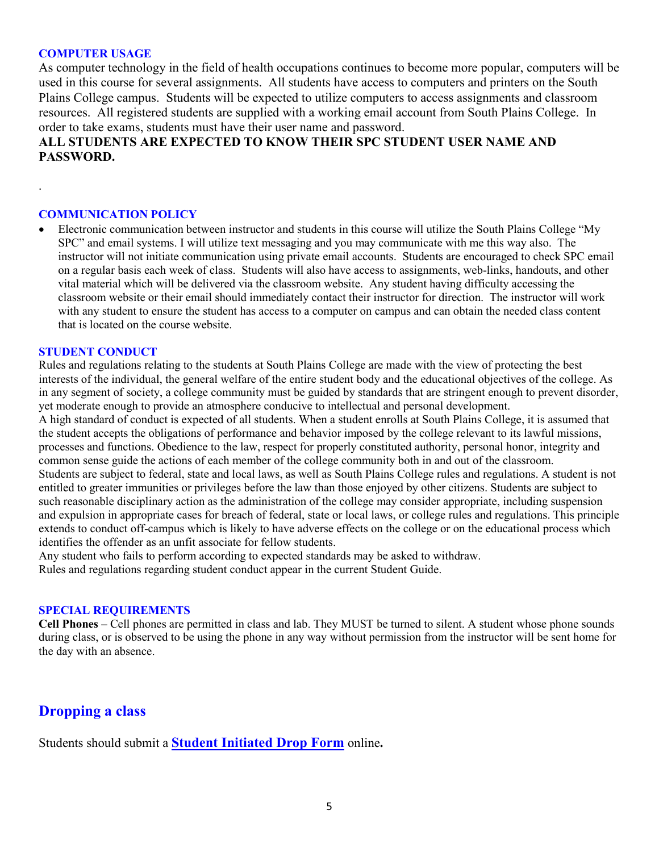### **COMPUTER USAGE**

.

As computer technology in the field of health occupations continues to become more popular, computers will be used in this course for several assignments. All students have access to computers and printers on the South Plains College campus. Students will be expected to utilize computers to access assignments and classroom resources. All registered students are supplied with a working email account from South Plains College. In order to take exams, students must have their user name and password.

# **ALL STUDENTS ARE EXPECTED TO KNOW THEIR SPC STUDENT USER NAME AND PASSWORD.**

#### **COMMUNICATION POLICY**

• Electronic communication between instructor and students in this course will utilize the South Plains College "My SPC" and email systems. I will utilize text messaging and you may communicate with me this way also. The instructor will not initiate communication using private email accounts. Students are encouraged to check SPC email on a regular basis each week of class. Students will also have access to assignments, web-links, handouts, and other vital material which will be delivered via the classroom website. Any student having difficulty accessing the classroom website or their email should immediately contact their instructor for direction. The instructor will work with any student to ensure the student has access to a computer on campus and can obtain the needed class content that is located on the course website.

### **STUDENT CONDUCT**

Rules and regulations relating to the students at South Plains College are made with the view of protecting the best interests of the individual, the general welfare of the entire student body and the educational objectives of the college. As in any segment of society, a college community must be guided by standards that are stringent enough to prevent disorder, yet moderate enough to provide an atmosphere conducive to intellectual and personal development. A high standard of conduct is expected of all students. When a student enrolls at South Plains College, it is assumed that the student accepts the obligations of performance and behavior imposed by the college relevant to its lawful missions, processes and functions. Obedience to the law, respect for properly constituted authority, personal honor, integrity and common sense guide the actions of each member of the college community both in and out of the classroom. Students are subject to federal, state and local laws, as well as South Plains College rules and regulations. A student is not entitled to greater immunities or privileges before the law than those enjoyed by other citizens. Students are subject to such reasonable disciplinary action as the administration of the college may consider appropriate, including suspension and expulsion in appropriate cases for breach of federal, state or local laws, or college rules and regulations. This principle extends to conduct off-campus which is likely to have adverse effects on the college or on the educational process which identifies the offender as an unfit associate for fellow students.

Any student who fails to perform according to expected standards may be asked to withdraw. Rules and regulations regarding student conduct appear in the current Student Guide.

### **SPECIAL REQUIREMENTS**

**Cell Phones** – Cell phones are permitted in class and lab. They MUST be turned to silent. A student whose phone sounds during class, or is observed to be using the phone in any way without permission from the instructor will be sent home for the day with an absence.

# **Dropping a class**

Students should submit a **Student [Initiated](https://forms.office.com/Pages/ResponsePage.aspx?id=ZrGRbWrP6UWeIqAmJdCCqRkmPIpp6AVCixFJfcqITt9UODExTUFXS0JOODhJOTlYM0NEV1kzRk9GMS4u) Drop Form** online**.**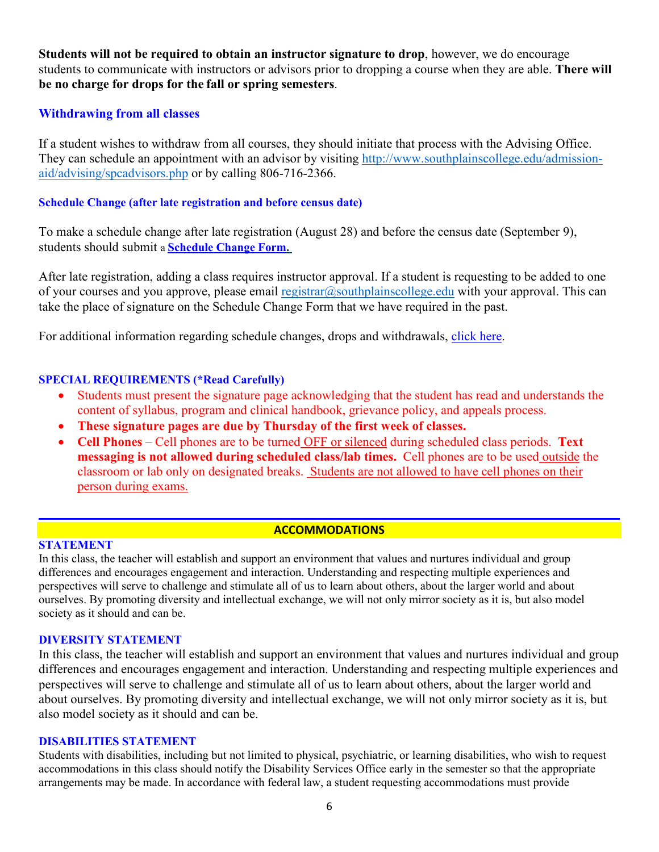**Students will not be required to obtain an instructor signature to drop**, however, we do encourage students to communicate with instructors or advisors prior to dropping a course when they are able. **There will be no charge for drops for the fall or spring semesters**.

# **Withdrawing from all classes**

If a student wishes to withdraw from all courses, they should initiate that process with the Advising Office. They can schedule an appointment with an advisor by visiting [http://www.southplainscollege.edu/admission](http://www.southplainscollege.edu/admission-aid/advising/spcadvisors.php)[aid/advising/spcadvisors.php](http://www.southplainscollege.edu/admission-aid/advising/spcadvisors.php) or by calling 806-716-2366.

## **Schedule Change (after late registration and before census date)**

To make a schedule change after late registration (August 28) and before the census date (September 9), students should submit a **[Schedule](https://forms.office.com/Pages/ResponsePage.aspx?id=ZrGRbWrP6UWeIqAmJdCCqRkmPIpp6AVCixFJfcqITt9UODIyTkRZSkFHVDNSVFRFV0g0T0tVWVAwRi4u) Change Form.**

After late registration, adding a class requires instructor approval. If a student is requesting to be added to one of your courses and you approve, please email [registrar@southplainscollege.edu](mailto:registrar@southplainscollege.edu) with your approval. This can take the place of signature on the Schedule Change Form that we have required in the past.

For additional information regarding schedule changes, drops and withdrawals, [click](http://www.southplainscollege.edu/admission-aid/apply/schedulechanges.php) here.

# **SPECIAL REQUIREMENTS (\*Read Carefully)**

- Students must present the signature page acknowledging that the student has read and understands the content of syllabus, program and clinical handbook, grievance policy, and appeals process.
- **These signature pages are due by Thursday of the first week of classes.**
- **Cell Phones** Cell phones are to be turned OFF or silenced during scheduled class periods. **Text messaging is not allowed during scheduled class/lab times.** Cell phones are to be used outside the classroom or lab only on designated breaks. Students are not allowed to have cell phones on their person during exams.

# **ACCOMMODATIONS**

# **STATEMENT**

In this class, the teacher will establish and support an environment that values and nurtures individual and group differences and encourages engagement and interaction. Understanding and respecting multiple experiences and perspectives will serve to challenge and stimulate all of us to learn about others, about the larger world and about ourselves. By promoting diversity and intellectual exchange, we will not only mirror society as it is, but also model society as it should and can be.

# **DIVERSITY STATEMENT**

In this class, the teacher will establish and support an environment that values and nurtures individual and group differences and encourages engagement and interaction. Understanding and respecting multiple experiences and perspectives will serve to challenge and stimulate all of us to learn about others, about the larger world and about ourselves. By promoting diversity and intellectual exchange, we will not only mirror society as it is, but also model society as it should and can be.

### **DISABILITIES STATEMENT**

Students with disabilities, including but not limited to physical, psychiatric, or learning disabilities, who wish to request accommodations in this class should notify the Disability Services Office early in the semester so that the appropriate arrangements may be made. In accordance with federal law, a student requesting accommodations must provide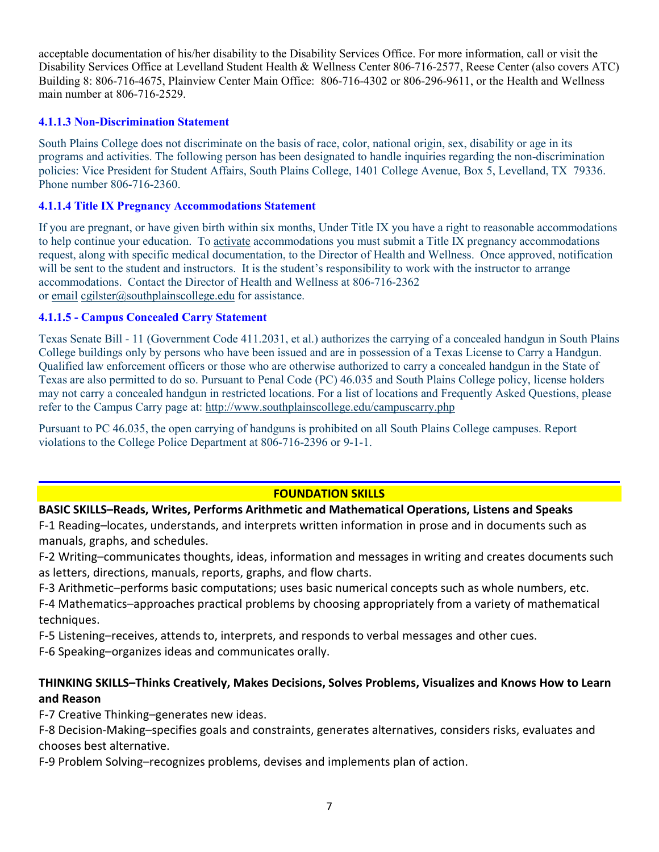acceptable documentation of his/her disability to the Disability Services Office. For more information, call or visit the Disability Services Office at Levelland Student Health & Wellness Center 806-716-2577, Reese Center (also covers ATC) Building 8: 806-716-4675, Plainview Center Main Office: 806-716-4302 or 806-296-9611, or the Health and Wellness main number at 806-716-2529.

# **4.1.1.3 Non-Discrimination Statement**

South Plains College does not discriminate on the basis of race, color, national origin, sex, disability or age in its programs and activities. The following person has been designated to handle inquiries regarding the non-discrimination policies: Vice President for Student Affairs, South Plains College, 1401 College Avenue, Box 5, Levelland, TX 79336. Phone number 806-716-2360.

### **4.1.1.4 Title IX Pregnancy Accommodations Statement**

If you are pregnant, or have given birth within six months, Under Title IX you have a right to reasonable accommodations to help continue your education. To [activate](http://www.southplainscollege.edu/employees/manualshandbooks/facultyhandbook/sec4.php) accommodations you must submit a Title IX pregnancy accommodations request, along with specific medical documentation, to the Director of Health and Wellness. Once approved, notification will be sent to the student and instructors. It is the student's responsibility to work with the instructor to arrange accommodations. Contact the Director of Health and Wellness at 806-716-2362 or [email](http://www.southplainscollege.edu/employees/manualshandbooks/facultyhandbook/sec4.php) [cgilster@southplainscollege.edu](mailto:cgilster@southplainscollege.edu) for assistance.

## **4.1.1.5 - Campus [Concealed Carry](http://www.southplainscollege.edu/employees/manualshandbooks/facultyhandbook/sec4.php) Statement**

Texas Senate Bill - 11 (Government Code 411.2031, et al.) authorizes the carrying of a concealed handgun in South Plains College buildings only by persons who have been issued and are in possession of a Texas License to Carry a Handgun. Qualified law enforcement officers or those who are otherwise authorized to carry a concealed handgun in the State of Texas are also permitted to do so. Pursuant to Penal Code (PC) 46.035 and South Plains College policy, license holders may not carry a concealed handgun in restricted locations. For a list of locations and Frequently Asked Questions, please refer to the Campus Carry page at: <http://www.southplainscollege.edu/campuscarry.php>

Pursuant to PC 46.035, the open carrying of handguns is prohibited on all South Plains College campuses. Report violations to the College Police Department at 806-716-2396 or 9-1-1.

# **FOUNDATION SKILLS**

# **BASIC SKILLS–Reads, Writes, Performs Arithmetic and Mathematical Operations, Listens and Speaks**

F-1 Reading–locates, understands, and interprets written information in prose and in documents such as manuals, graphs, and schedules.

F-2 Writing–communicates thoughts, ideas, information and messages in writing and creates documents such as letters, directions, manuals, reports, graphs, and flow charts.

F-3 Arithmetic–performs basic computations; uses basic numerical concepts such as whole numbers, etc.

F-4 Mathematics–approaches practical problems by choosing appropriately from a variety of mathematical techniques.

F-5 Listening–receives, attends to, interprets, and responds to verbal messages and other cues.

F-6 Speaking–organizes ideas and communicates orally.

# **THINKING SKILLS–Thinks Creatively, Makes Decisions, Solves Problems, Visualizes and Knows How to Learn and Reason**

F-7 Creative Thinking–generates new ideas.

F-8 Decision-Making–specifies goals and constraints, generates alternatives, considers risks, evaluates and chooses best alternative.

F-9 Problem Solving–recognizes problems, devises and implements plan of action.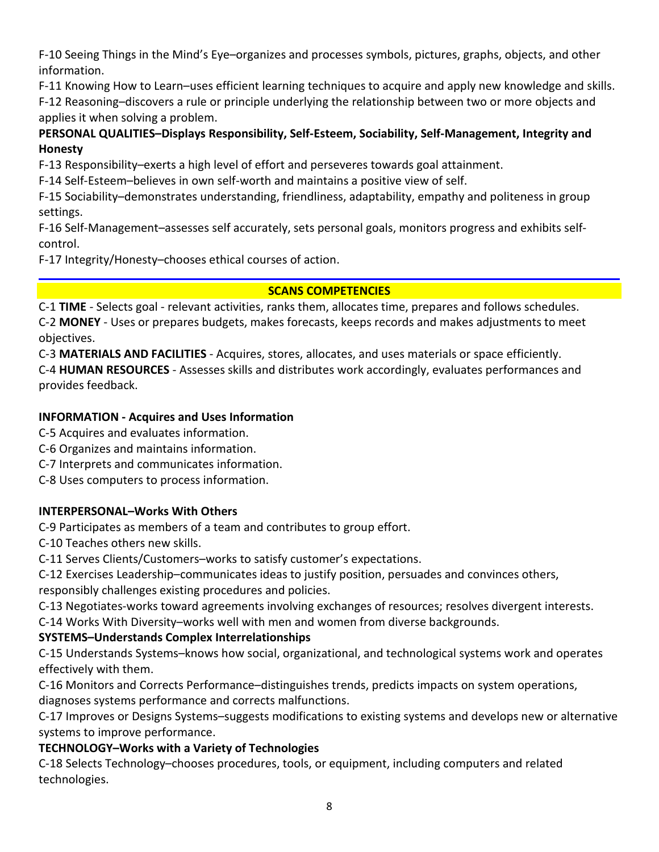F-10 Seeing Things in the Mind's Eye–organizes and processes symbols, pictures, graphs, objects, and other information.

F-11 Knowing How to Learn–uses efficient learning techniques to acquire and apply new knowledge and skills.

F-12 Reasoning–discovers a rule or principle underlying the relationship between two or more objects and applies it when solving a problem.

# **PERSONAL QUALITIES–Displays Responsibility, Self-Esteem, Sociability, Self-Management, Integrity and Honesty**

F-13 Responsibility–exerts a high level of effort and perseveres towards goal attainment.

F-14 Self-Esteem–believes in own self-worth and maintains a positive view of self.

F-15 Sociability–demonstrates understanding, friendliness, adaptability, empathy and politeness in group settings.

F-16 Self-Management–assesses self accurately, sets personal goals, monitors progress and exhibits selfcontrol.

F-17 Integrity/Honesty–chooses ethical courses of action.

# **SCANS COMPETENCIES**

C-1 **TIME** - Selects goal - relevant activities, ranks them, allocates time, prepares and follows schedules. C-2 **MONEY** - Uses or prepares budgets, makes forecasts, keeps records and makes adjustments to meet objectives.

C-3 **MATERIALS AND FACILITIES** - Acquires, stores, allocates, and uses materials or space efficiently. C-4 **HUMAN RESOURCES** - Assesses skills and distributes work accordingly, evaluates performances and provides feedback.

# **INFORMATION - Acquires and Uses Information**

C-5 Acquires and evaluates information.

- C-6 Organizes and maintains information.
- C-7 Interprets and communicates information.

C-8 Uses computers to process information.

# **INTERPERSONAL–Works With Others**

C-9 Participates as members of a team and contributes to group effort.

C-10 Teaches others new skills.

C-11 Serves Clients/Customers–works to satisfy customer's expectations.

C-12 Exercises Leadership–communicates ideas to justify position, persuades and convinces others, responsibly challenges existing procedures and policies.

C-13 Negotiates-works toward agreements involving exchanges of resources; resolves divergent interests.

C-14 Works With Diversity–works well with men and women from diverse backgrounds.

# **SYSTEMS–Understands Complex Interrelationships**

C-15 Understands Systems–knows how social, organizational, and technological systems work and operates effectively with them.

C-16 Monitors and Corrects Performance–distinguishes trends, predicts impacts on system operations, diagnoses systems performance and corrects malfunctions.

C-17 Improves or Designs Systems–suggests modifications to existing systems and develops new or alternative systems to improve performance.

# **TECHNOLOGY–Works with a Variety of Technologies**

C-18 Selects Technology–chooses procedures, tools, or equipment, including computers and related technologies.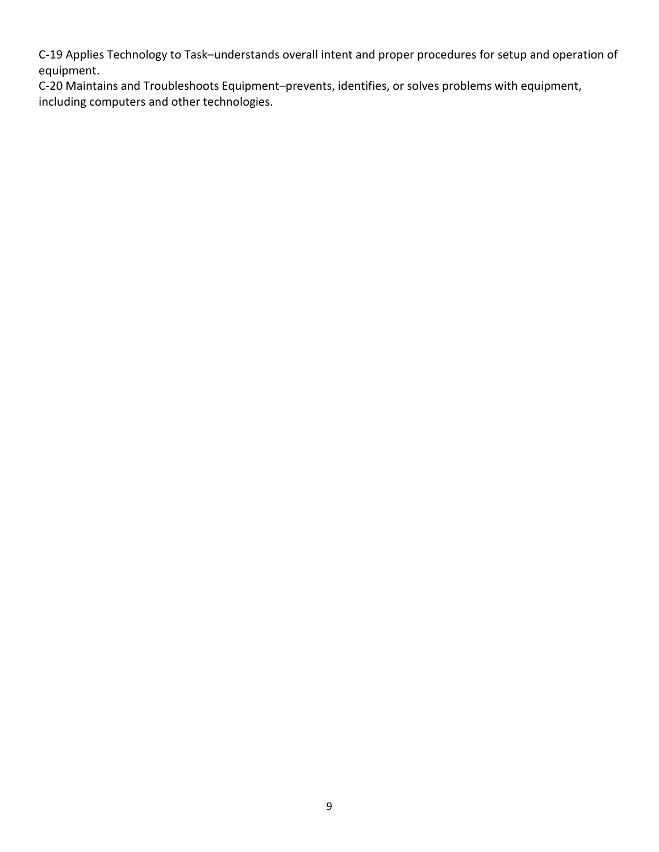C-19 Applies Technology to Task–understands overall intent and proper procedures for setup and operation of equipment.

C-20 Maintains and Troubleshoots Equipment–prevents, identifies, or solves problems with equipment, including computers and other technologies.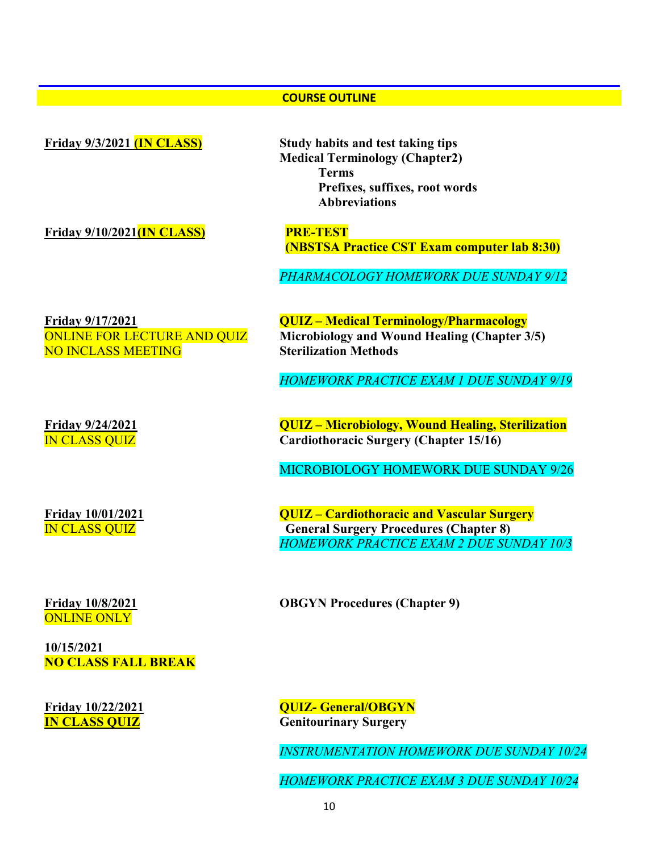## **COURSE OUTLINE**

| <b>Friday 9/3/2021 (IN CLASS)</b>                                                          | Study habits and test taking tips<br><b>Medical Terminology (Chapter2)</b><br><b>Terms</b><br>Prefixes, suffixes, root words<br><b>Abbreviations</b>         |
|--------------------------------------------------------------------------------------------|--------------------------------------------------------------------------------------------------------------------------------------------------------------|
| Friday $9/10/2021$ (IN CLASS)                                                              | <b>PRE-TEST</b><br><b>(NBSTSA Practice CST Exam computer lab 8:30)</b><br>PHARMACOLOGY HOMEWORK DUE SUNDAY 9/12                                              |
| <b>Friday 9/17/2021</b><br><b>ONLINE FOR LECTURE AND QUIZ</b><br><b>NO INCLASS MEETING</b> | <b>QUIZ - Medical Terminology/Pharmacology</b><br>Microbiology and Wound Healing (Chapter 3/5)<br><b>Sterilization Methods</b>                               |
| <b>Friday 9/24/2021</b><br><b>IN CLASS QUIZ</b>                                            | <b>HOMEWORK PRACTICE EXAM 1 DUE SUNDAY 9/19</b><br><b>QUIZ</b> – Microbiology, Wound Healing, Sterilization<br><b>Cardiothoracic Surgery (Chapter 15/16)</b> |
|                                                                                            | <b>MICROBIOLOGY HOMEWORK DUE SUNDAY 9/26</b>                                                                                                                 |

**Friday 10/8/2021** ONLINE ONLY

**10/15/2021 NO CLASS FALL BREAK**

**Friday 10/01/2021 QUIZ – Cardiothoracic and Vascular Surgery General Surgery Procedures (Chapter 8)** *HOMEWORK PRACTICE EXAM 2 DUE SUNDAY 10/3*

**OBGYN Procedures (Chapter 9)**

**Friday 10/22/2021 QUIZ- General/OBGYN**<br> **N CLASS QUIZ General Genitourinary Surgery** 

*INSTRUMENTATION HOMEWORK DUE SUNDAY 10/24*

*HOMEWORK PRACTICE EXAM 3 DUE SUNDAY 10/24*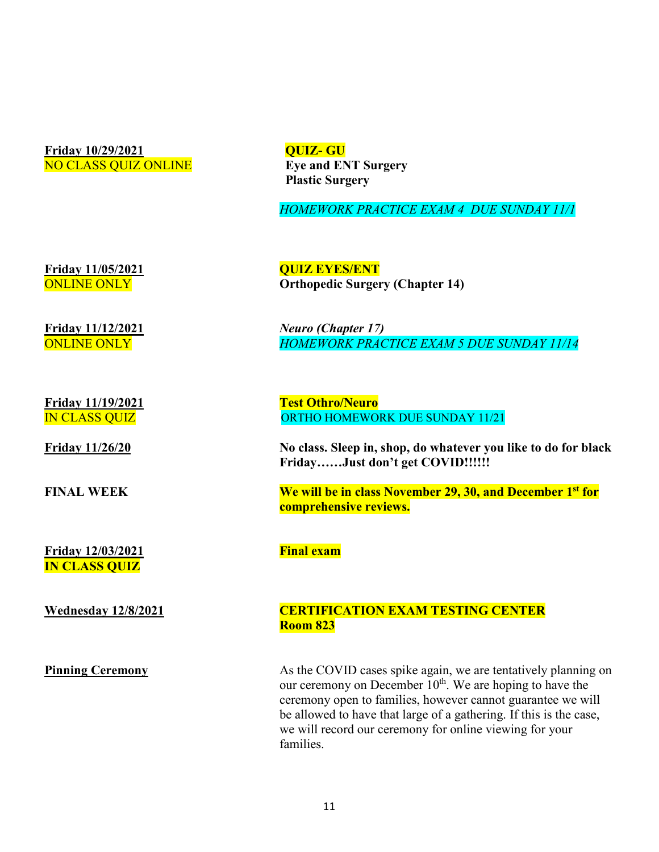**Friday 10/29/2021** NO CLASS QUIZ ONLINE **QUIZ- GU Eye and ENT Surgery Plastic Surgery**

*HOMEWORK PRACTICE EXAM 4 DUE SUNDAY 11/1*

**Friday 11/05/2021** ONLINE ONLY

**Friday 11/12/2021** ONLINE ONLY

**Friday 11/26/20** 

**FINAL WEEK** 

**Friday 12/03/2021 IN CLASS QUIZ**

**Wednesday 12/8/2021** 

**Pinning Ceremony** 

**QUIZ EYES/ENT Orthopedic Surgery (Chapter 14)**

*Neuro (Chapter 17) HOMEWORK PRACTICE EXAM 5 DUE SUNDAY 11/14*

**Friday 11/19/2021** Test Othro/Neuro IN CLASS QUIZ ORTHO HOMEWORK DUE SUNDAY 11/21

> **No class. Sleep in, shop, do whatever you like to do for black Friday……Just don't get COVID!!!!!!**

**We will be in class November 29, 30, and December 1st for comprehensive reviews.** 

**Final exam**

# **CERTIFICATION EXAM TESTING CENTER Room 823**

As the COVID cases spike again, we are tentatively planning on our ceremony on December 10<sup>th</sup>. We are hoping to have the ceremony open to families, however cannot guarantee we will be allowed to have that large of a gathering. If this is the case, we will record our ceremony for online viewing for your families.